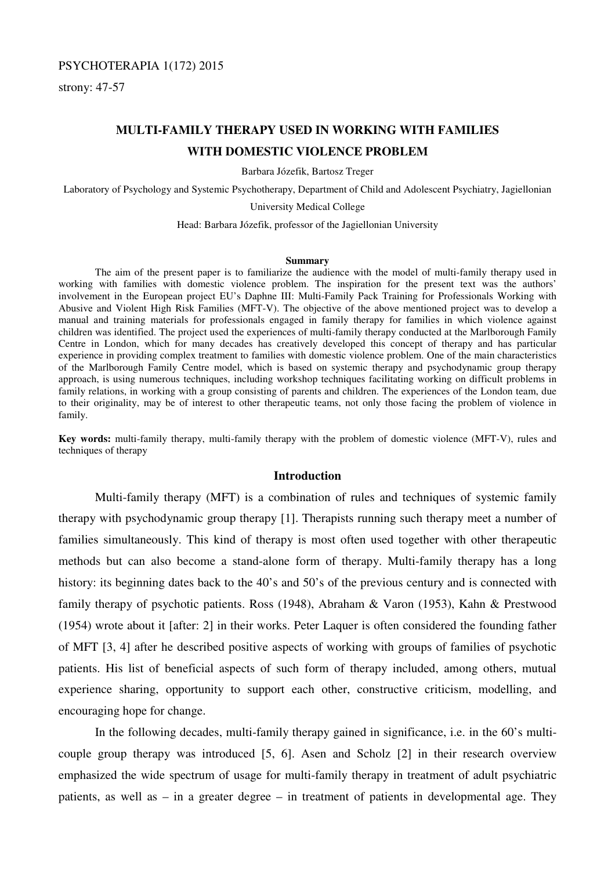## PSYCHOTERAPIA 1(172) 2015

strony: 47-57

# **MULTI-FAMILY THERAPY USED IN WORKING WITH FAMILIES WITH DOMESTIC VIOLENCE PROBLEM**

Barbara Józefik, Bartosz Treger

Laboratory of Psychology and Systemic Psychotherapy, Department of Child and Adolescent Psychiatry, Jagiellonian

University Medical College

Head: Barbara Józefik, professor of the Jagiellonian University

#### **Summary**

 The aim of the present paper is to familiarize the audience with the model of multi-family therapy used in working with families with domestic violence problem. The inspiration for the present text was the authors' involvement in the European project EU's Daphne III: Multi-Family Pack Training for Professionals Working with Abusive and Violent High Risk Families (MFT-V). The objective of the above mentioned project was to develop a manual and training materials for professionals engaged in family therapy for families in which violence against children was identified. The project used the experiences of multi-family therapy conducted at the Marlborough Family Centre in London, which for many decades has creatively developed this concept of therapy and has particular experience in providing complex treatment to families with domestic violence problem. One of the main characteristics of the Marlborough Family Centre model, which is based on systemic therapy and psychodynamic group therapy approach, is using numerous techniques, including workshop techniques facilitating working on difficult problems in family relations, in working with a group consisting of parents and children. The experiences of the London team, due to their originality, may be of interest to other therapeutic teams, not only those facing the problem of violence in family.

**Key words:** multi-family therapy, multi-family therapy with the problem of domestic violence (MFT-V), rules and techniques of therapy

### **Introduction**

 Multi-family therapy (MFT) is a combination of rules and techniques of systemic family therapy with psychodynamic group therapy [1]. Therapists running such therapy meet a number of families simultaneously. This kind of therapy is most often used together with other therapeutic methods but can also become a stand-alone form of therapy. Multi-family therapy has a long history: its beginning dates back to the 40's and 50's of the previous century and is connected with family therapy of psychotic patients. Ross (1948), Abraham & Varon (1953), Kahn & Prestwood (1954) wrote about it [after: 2] in their works. Peter Laquer is often considered the founding father of MFT [3, 4] after he described positive aspects of working with groups of families of psychotic patients. His list of beneficial aspects of such form of therapy included, among others, mutual experience sharing, opportunity to support each other, constructive criticism, modelling, and encouraging hope for change.

 In the following decades, multi-family therapy gained in significance, i.e. in the 60's multicouple group therapy was introduced [5, 6]. Asen and Scholz [2] in their research overview emphasized the wide spectrum of usage for multi-family therapy in treatment of adult psychiatric patients, as well as – in a greater degree – in treatment of patients in developmental age. They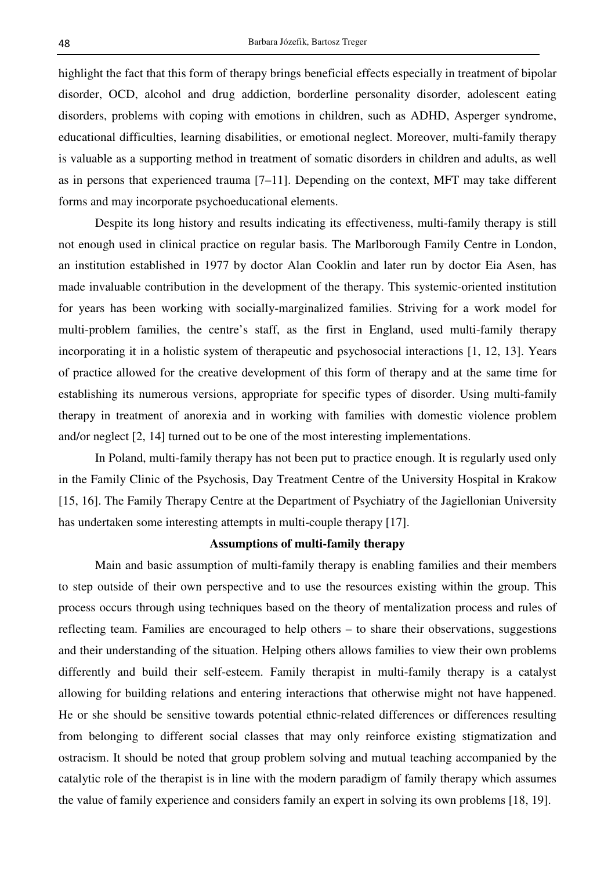highlight the fact that this form of therapy brings beneficial effects especially in treatment of bipolar disorder, OCD, alcohol and drug addiction, borderline personality disorder, adolescent eating disorders, problems with coping with emotions in children, such as ADHD, Asperger syndrome, educational difficulties, learning disabilities, or emotional neglect. Moreover, multi-family therapy is valuable as a supporting method in treatment of somatic disorders in children and adults, as well as in persons that experienced trauma [7–11]. Depending on the context, MFT may take different forms and may incorporate psychoeducational elements.

 Despite its long history and results indicating its effectiveness, multi-family therapy is still not enough used in clinical practice on regular basis. The Marlborough Family Centre in London, an institution established in 1977 by doctor Alan Cooklin and later run by doctor Eia Asen, has made invaluable contribution in the development of the therapy. This systemic-oriented institution for years has been working with socially-marginalized families. Striving for a work model for multi-problem families, the centre's staff, as the first in England, used multi-family therapy incorporating it in a holistic system of therapeutic and psychosocial interactions [1, 12, 13]. Years of practice allowed for the creative development of this form of therapy and at the same time for establishing its numerous versions, appropriate for specific types of disorder. Using multi-family therapy in treatment of anorexia and in working with families with domestic violence problem and/or neglect [2, 14] turned out to be one of the most interesting implementations.

 In Poland, multi-family therapy has not been put to practice enough. It is regularly used only in the Family Clinic of the Psychosis, Day Treatment Centre of the University Hospital in Krakow [15, 16]. The Family Therapy Centre at the Department of Psychiatry of the Jagiellonian University has undertaken some interesting attempts in multi-couple therapy [17].

## **Assumptions of multi-family therapy**

 Main and basic assumption of multi-family therapy is enabling families and their members to step outside of their own perspective and to use the resources existing within the group. This process occurs through using techniques based on the theory of mentalization process and rules of reflecting team. Families are encouraged to help others – to share their observations, suggestions and their understanding of the situation. Helping others allows families to view their own problems differently and build their self-esteem. Family therapist in multi-family therapy is a catalyst allowing for building relations and entering interactions that otherwise might not have happened. He or she should be sensitive towards potential ethnic-related differences or differences resulting from belonging to different social classes that may only reinforce existing stigmatization and ostracism. It should be noted that group problem solving and mutual teaching accompanied by the catalytic role of the therapist is in line with the modern paradigm of family therapy which assumes the value of family experience and considers family an expert in solving its own problems [18, 19].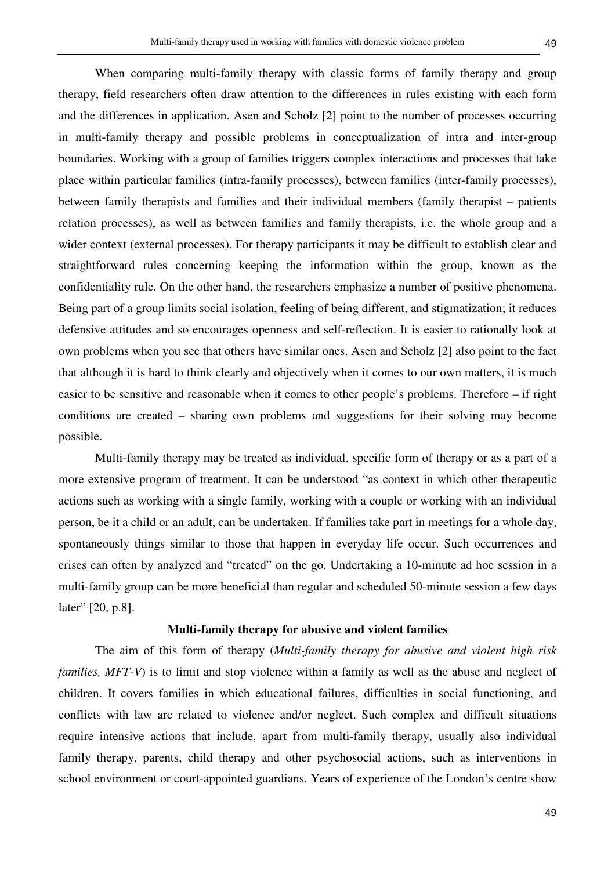When comparing multi-family therapy with classic forms of family therapy and group therapy, field researchers often draw attention to the differences in rules existing with each form and the differences in application. Asen and Scholz [2] point to the number of processes occurring in multi-family therapy and possible problems in conceptualization of intra and inter-group boundaries. Working with a group of families triggers complex interactions and processes that take place within particular families (intra-family processes), between families (inter-family processes), between family therapists and families and their individual members (family therapist – patients relation processes), as well as between families and family therapists, i.e. the whole group and a wider context (external processes). For therapy participants it may be difficult to establish clear and straightforward rules concerning keeping the information within the group, known as the confidentiality rule. On the other hand, the researchers emphasize a number of positive phenomena. Being part of a group limits social isolation, feeling of being different, and stigmatization; it reduces defensive attitudes and so encourages openness and self-reflection. It is easier to rationally look at own problems when you see that others have similar ones. Asen and Scholz [2] also point to the fact that although it is hard to think clearly and objectively when it comes to our own matters, it is much easier to be sensitive and reasonable when it comes to other people's problems. Therefore – if right conditions are created – sharing own problems and suggestions for their solving may become possible.

 Multi-family therapy may be treated as individual, specific form of therapy or as a part of a more extensive program of treatment. It can be understood "as context in which other therapeutic actions such as working with a single family, working with a couple or working with an individual person, be it a child or an adult, can be undertaken. If families take part in meetings for a whole day, spontaneously things similar to those that happen in everyday life occur. Such occurrences and crises can often by analyzed and "treated" on the go. Undertaking a 10-minute ad hoc session in a multi-family group can be more beneficial than regular and scheduled 50-minute session a few days later" [20, p.8].

### **Multi-family therapy for abusive and violent families**

 The aim of this form of therapy (*Multi-family therapy for abusive and violent high risk families, MFT-V*) is to limit and stop violence within a family as well as the abuse and neglect of children. It covers families in which educational failures, difficulties in social functioning, and conflicts with law are related to violence and/or neglect. Such complex and difficult situations require intensive actions that include, apart from multi-family therapy, usually also individual family therapy, parents, child therapy and other psychosocial actions, such as interventions in school environment or court-appointed guardians. Years of experience of the London's centre show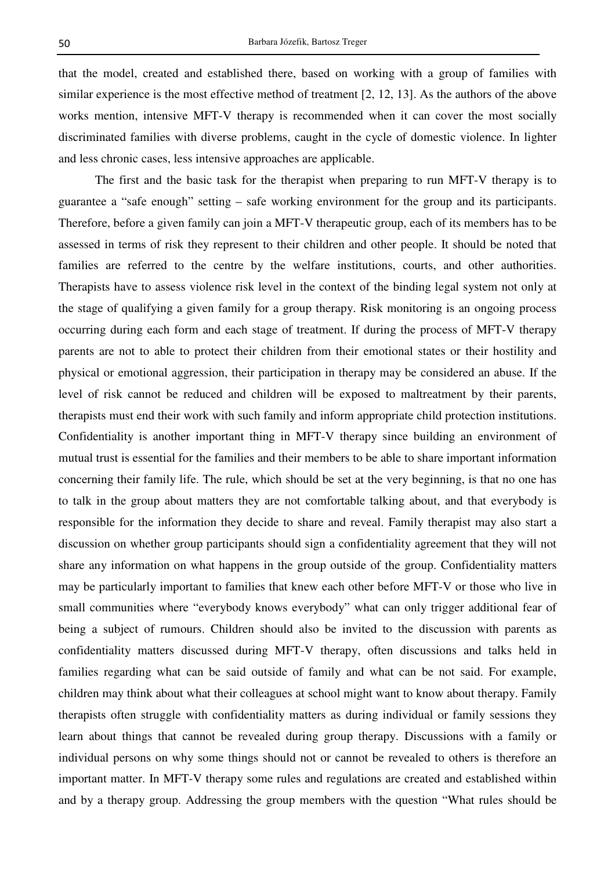that the model, created and established there, based on working with a group of families with similar experience is the most effective method of treatment [2, 12, 13]. As the authors of the above works mention, intensive MFT-V therapy is recommended when it can cover the most socially discriminated families with diverse problems, caught in the cycle of domestic violence. In lighter and less chronic cases, less intensive approaches are applicable.

 The first and the basic task for the therapist when preparing to run MFT-V therapy is to guarantee a "safe enough" setting – safe working environment for the group and its participants. Therefore, before a given family can join a MFT-V therapeutic group, each of its members has to be assessed in terms of risk they represent to their children and other people. It should be noted that families are referred to the centre by the welfare institutions, courts, and other authorities. Therapists have to assess violence risk level in the context of the binding legal system not only at the stage of qualifying a given family for a group therapy. Risk monitoring is an ongoing process occurring during each form and each stage of treatment. If during the process of MFT-V therapy parents are not to able to protect their children from their emotional states or their hostility and physical or emotional aggression, their participation in therapy may be considered an abuse. If the level of risk cannot be reduced and children will be exposed to maltreatment by their parents, therapists must end their work with such family and inform appropriate child protection institutions. Confidentiality is another important thing in MFT-V therapy since building an environment of mutual trust is essential for the families and their members to be able to share important information concerning their family life. The rule, which should be set at the very beginning, is that no one has to talk in the group about matters they are not comfortable talking about, and that everybody is responsible for the information they decide to share and reveal. Family therapist may also start a discussion on whether group participants should sign a confidentiality agreement that they will not share any information on what happens in the group outside of the group. Confidentiality matters may be particularly important to families that knew each other before MFT-V or those who live in small communities where "everybody knows everybody" what can only trigger additional fear of being a subject of rumours. Children should also be invited to the discussion with parents as confidentiality matters discussed during MFT-V therapy, often discussions and talks held in families regarding what can be said outside of family and what can be not said. For example, children may think about what their colleagues at school might want to know about therapy. Family therapists often struggle with confidentiality matters as during individual or family sessions they learn about things that cannot be revealed during group therapy. Discussions with a family or individual persons on why some things should not or cannot be revealed to others is therefore an important matter. In MFT-V therapy some rules and regulations are created and established within and by a therapy group. Addressing the group members with the question "What rules should be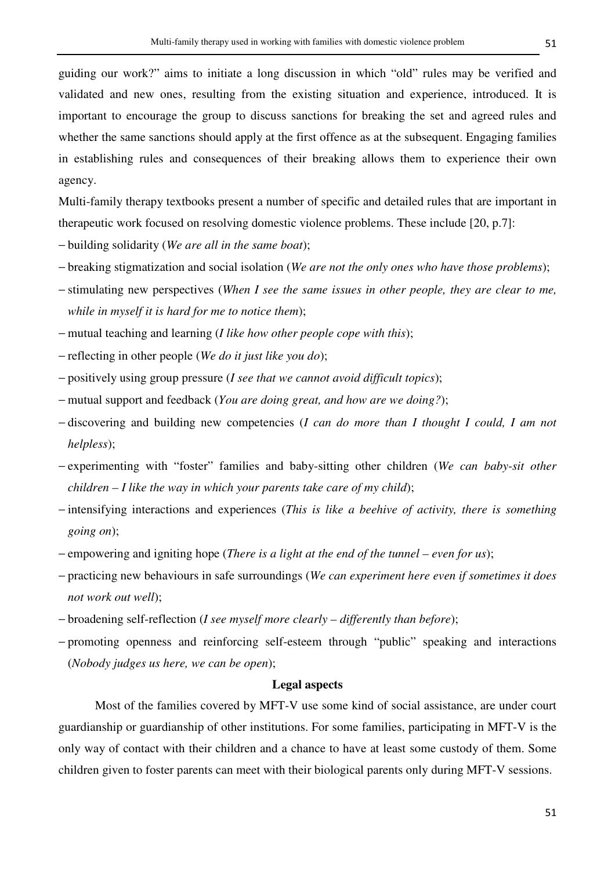guiding our work?" aims to initiate a long discussion in which "old" rules may be verified and validated and new ones, resulting from the existing situation and experience, introduced. It is important to encourage the group to discuss sanctions for breaking the set and agreed rules and whether the same sanctions should apply at the first offence as at the subsequent. Engaging families in establishing rules and consequences of their breaking allows them to experience their own agency.

Multi-family therapy textbooks present a number of specific and detailed rules that are important in therapeutic work focused on resolving domestic violence problems. These include [20, p.7]:

- − building solidarity (*We are all in the same boat*);
- − breaking stigmatization and social isolation (*We are not the only ones who have those problems*);
- − stimulating new perspectives (*When I see the same issues in other people, they are clear to me, while in myself it is hard for me to notice them*);
- − mutual teaching and learning (*I like how other people cope with this*);
- − reflecting in other people (*We do it just like you do*);
- − positively using group pressure (*I see that we cannot avoid difficult topics*);
- − mutual support and feedback (*You are doing great, and how are we doing?*);
- − discovering and building new competencies (*I can do more than I thought I could, I am not helpless*);
- − experimenting with "foster" families and baby-sitting other children (*We can baby-sit other children – I like the way in which your parents take care of my child*);
- − intensifying interactions and experiences (*This is like a beehive of activity, there is something going on*);
- − empowering and igniting hope (*There is a light at the end of the tunnel even for us*);
- − practicing new behaviours in safe surroundings (*We can experiment here even if sometimes it does not work out well*);
- − broadening self-reflection (*I see myself more clearly differently than before*);
- − promoting openness and reinforcing self-esteem through "public" speaking and interactions (*Nobody judges us here, we can be open*);

## **Legal aspects**

 Most of the families covered by MFT-V use some kind of social assistance, are under court guardianship or guardianship of other institutions. For some families, participating in MFT-V is the only way of contact with their children and a chance to have at least some custody of them. Some children given to foster parents can meet with their biological parents only during MFT-V sessions.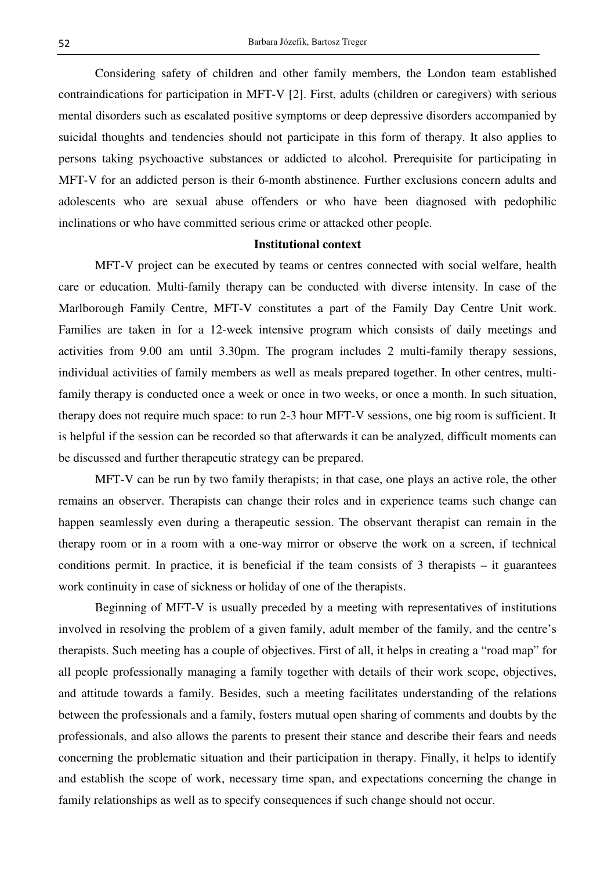Considering safety of children and other family members, the London team established contraindications for participation in MFT-V [2]. First, adults (children or caregivers) with serious mental disorders such as escalated positive symptoms or deep depressive disorders accompanied by suicidal thoughts and tendencies should not participate in this form of therapy. It also applies to persons taking psychoactive substances or addicted to alcohol. Prerequisite for participating in MFT-V for an addicted person is their 6-month abstinence. Further exclusions concern adults and adolescents who are sexual abuse offenders or who have been diagnosed with pedophilic inclinations or who have committed serious crime or attacked other people.

### **Institutional context**

 MFT-V project can be executed by teams or centres connected with social welfare, health care or education. Multi-family therapy can be conducted with diverse intensity. In case of the Marlborough Family Centre, MFT-V constitutes a part of the Family Day Centre Unit work. Families are taken in for a 12-week intensive program which consists of daily meetings and activities from 9.00 am until 3.30pm. The program includes 2 multi-family therapy sessions, individual activities of family members as well as meals prepared together. In other centres, multifamily therapy is conducted once a week or once in two weeks, or once a month. In such situation, therapy does not require much space: to run 2-3 hour MFT-V sessions, one big room is sufficient. It is helpful if the session can be recorded so that afterwards it can be analyzed, difficult moments can be discussed and further therapeutic strategy can be prepared.

 MFT-V can be run by two family therapists; in that case, one plays an active role, the other remains an observer. Therapists can change their roles and in experience teams such change can happen seamlessly even during a therapeutic session. The observant therapist can remain in the therapy room or in a room with a one-way mirror or observe the work on a screen, if technical conditions permit. In practice, it is beneficial if the team consists of  $\overline{3}$  therapists – it guarantees work continuity in case of sickness or holiday of one of the therapists.

 Beginning of MFT-V is usually preceded by a meeting with representatives of institutions involved in resolving the problem of a given family, adult member of the family, and the centre's therapists. Such meeting has a couple of objectives. First of all, it helps in creating a "road map" for all people professionally managing a family together with details of their work scope, objectives, and attitude towards a family. Besides, such a meeting facilitates understanding of the relations between the professionals and a family, fosters mutual open sharing of comments and doubts by the professionals, and also allows the parents to present their stance and describe their fears and needs concerning the problematic situation and their participation in therapy. Finally, it helps to identify and establish the scope of work, necessary time span, and expectations concerning the change in family relationships as well as to specify consequences if such change should not occur.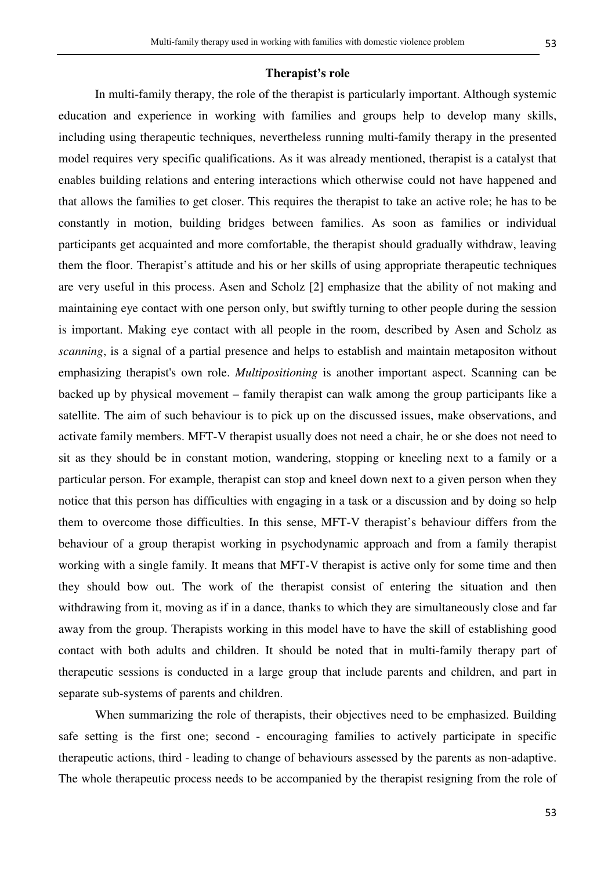### **Therapist's role**

 In multi-family therapy, the role of the therapist is particularly important. Although systemic education and experience in working with families and groups help to develop many skills, including using therapeutic techniques, nevertheless running multi-family therapy in the presented model requires very specific qualifications. As it was already mentioned, therapist is a catalyst that enables building relations and entering interactions which otherwise could not have happened and that allows the families to get closer. This requires the therapist to take an active role; he has to be constantly in motion, building bridges between families. As soon as families or individual participants get acquainted and more comfortable, the therapist should gradually withdraw, leaving them the floor. Therapist's attitude and his or her skills of using appropriate therapeutic techniques are very useful in this process. Asen and Scholz [2] emphasize that the ability of not making and maintaining eye contact with one person only, but swiftly turning to other people during the session is important. Making eye contact with all people in the room, described by Asen and Scholz as *scanning*, is a signal of a partial presence and helps to establish and maintain metapositon without emphasizing therapist's own role. *Multipositioning* is another important aspect. Scanning can be backed up by physical movement – family therapist can walk among the group participants like a satellite. The aim of such behaviour is to pick up on the discussed issues, make observations, and activate family members. MFT-V therapist usually does not need a chair, he or she does not need to sit as they should be in constant motion, wandering, stopping or kneeling next to a family or a particular person. For example, therapist can stop and kneel down next to a given person when they notice that this person has difficulties with engaging in a task or a discussion and by doing so help them to overcome those difficulties. In this sense, MFT-V therapist's behaviour differs from the behaviour of a group therapist working in psychodynamic approach and from a family therapist working with a single family. It means that MFT-V therapist is active only for some time and then they should bow out. The work of the therapist consist of entering the situation and then withdrawing from it, moving as if in a dance, thanks to which they are simultaneously close and far away from the group. Therapists working in this model have to have the skill of establishing good contact with both adults and children. It should be noted that in multi-family therapy part of therapeutic sessions is conducted in a large group that include parents and children, and part in separate sub-systems of parents and children.

 When summarizing the role of therapists, their objectives need to be emphasized. Building safe setting is the first one; second - encouraging families to actively participate in specific therapeutic actions, third - leading to change of behaviours assessed by the parents as non-adaptive. The whole therapeutic process needs to be accompanied by the therapist resigning from the role of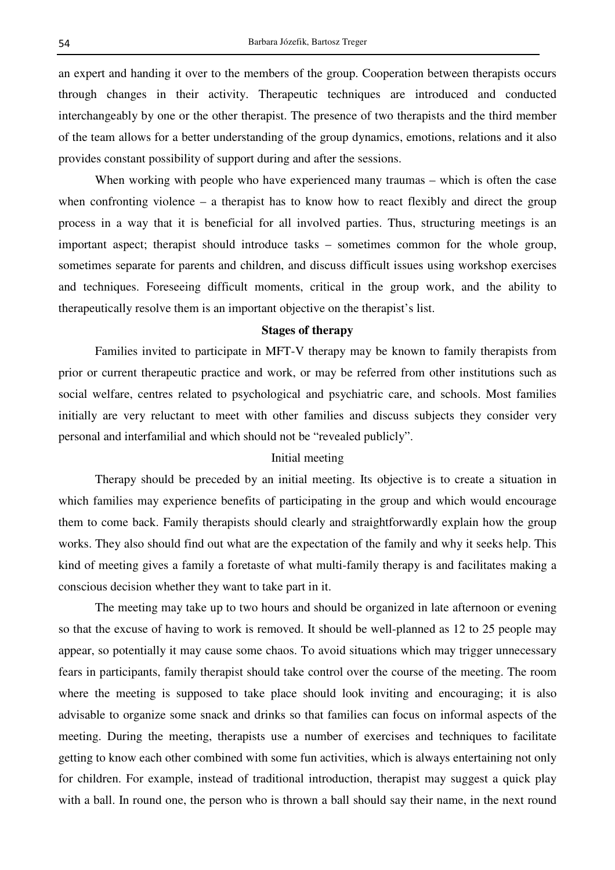an expert and handing it over to the members of the group. Cooperation between therapists occurs through changes in their activity. Therapeutic techniques are introduced and conducted interchangeably by one or the other therapist. The presence of two therapists and the third member of the team allows for a better understanding of the group dynamics, emotions, relations and it also provides constant possibility of support during and after the sessions.

When working with people who have experienced many traumas – which is often the case when confronting violence – a therapist has to know how to react flexibly and direct the group process in a way that it is beneficial for all involved parties. Thus, structuring meetings is an important aspect; therapist should introduce tasks – sometimes common for the whole group, sometimes separate for parents and children, and discuss difficult issues using workshop exercises and techniques. Foreseeing difficult moments, critical in the group work, and the ability to therapeutically resolve them is an important objective on the therapist's list.

## **Stages of therapy**

 Families invited to participate in MFT-V therapy may be known to family therapists from prior or current therapeutic practice and work, or may be referred from other institutions such as social welfare, centres related to psychological and psychiatric care, and schools. Most families initially are very reluctant to meet with other families and discuss subjects they consider very personal and interfamilial and which should not be "revealed publicly".

## Initial meeting

 Therapy should be preceded by an initial meeting. Its objective is to create a situation in which families may experience benefits of participating in the group and which would encourage them to come back. Family therapists should clearly and straightforwardly explain how the group works. They also should find out what are the expectation of the family and why it seeks help. This kind of meeting gives a family a foretaste of what multi-family therapy is and facilitates making a conscious decision whether they want to take part in it.

 The meeting may take up to two hours and should be organized in late afternoon or evening so that the excuse of having to work is removed. It should be well-planned as 12 to 25 people may appear, so potentially it may cause some chaos. To avoid situations which may trigger unnecessary fears in participants, family therapist should take control over the course of the meeting. The room where the meeting is supposed to take place should look inviting and encouraging; it is also advisable to organize some snack and drinks so that families can focus on informal aspects of the meeting. During the meeting, therapists use a number of exercises and techniques to facilitate getting to know each other combined with some fun activities, which is always entertaining not only for children. For example, instead of traditional introduction, therapist may suggest a quick play with a ball. In round one, the person who is thrown a ball should say their name, in the next round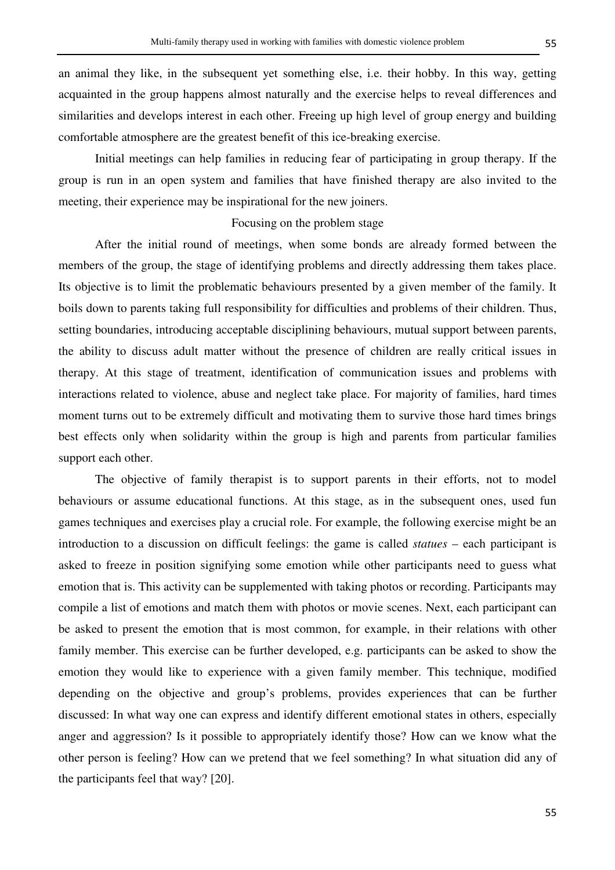an animal they like, in the subsequent yet something else, i.e. their hobby. In this way, getting acquainted in the group happens almost naturally and the exercise helps to reveal differences and similarities and develops interest in each other. Freeing up high level of group energy and building comfortable atmosphere are the greatest benefit of this ice-breaking exercise.

 Initial meetings can help families in reducing fear of participating in group therapy. If the group is run in an open system and families that have finished therapy are also invited to the meeting, their experience may be inspirational for the new joiners.

### Focusing on the problem stage

 After the initial round of meetings, when some bonds are already formed between the members of the group, the stage of identifying problems and directly addressing them takes place. Its objective is to limit the problematic behaviours presented by a given member of the family. It boils down to parents taking full responsibility for difficulties and problems of their children. Thus, setting boundaries, introducing acceptable disciplining behaviours, mutual support between parents, the ability to discuss adult matter without the presence of children are really critical issues in therapy. At this stage of treatment, identification of communication issues and problems with interactions related to violence, abuse and neglect take place. For majority of families, hard times moment turns out to be extremely difficult and motivating them to survive those hard times brings best effects only when solidarity within the group is high and parents from particular families support each other.

 The objective of family therapist is to support parents in their efforts, not to model behaviours or assume educational functions. At this stage, as in the subsequent ones, used fun games techniques and exercises play a crucial role. For example, the following exercise might be an introduction to a discussion on difficult feelings: the game is called *statues* – each participant is asked to freeze in position signifying some emotion while other participants need to guess what emotion that is. This activity can be supplemented with taking photos or recording. Participants may compile a list of emotions and match them with photos or movie scenes. Next, each participant can be asked to present the emotion that is most common, for example, in their relations with other family member. This exercise can be further developed, e.g. participants can be asked to show the emotion they would like to experience with a given family member. This technique, modified depending on the objective and group's problems, provides experiences that can be further discussed: In what way one can express and identify different emotional states in others, especially anger and aggression? Is it possible to appropriately identify those? How can we know what the other person is feeling? How can we pretend that we feel something? In what situation did any of the participants feel that way? [20].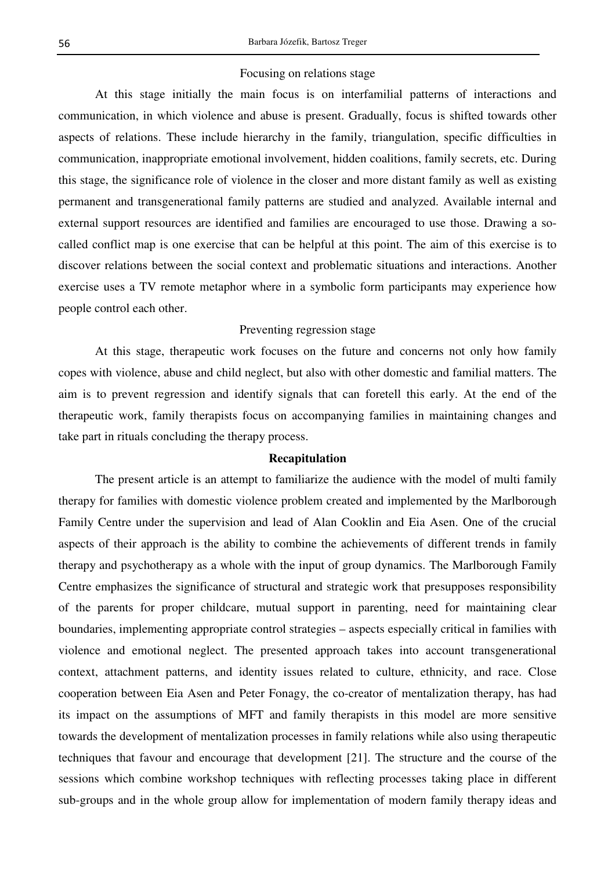## Focusing on relations stage

 At this stage initially the main focus is on interfamilial patterns of interactions and communication, in which violence and abuse is present. Gradually, focus is shifted towards other aspects of relations. These include hierarchy in the family, triangulation, specific difficulties in communication, inappropriate emotional involvement, hidden coalitions, family secrets, etc. During this stage, the significance role of violence in the closer and more distant family as well as existing permanent and transgenerational family patterns are studied and analyzed. Available internal and external support resources are identified and families are encouraged to use those. Drawing a socalled conflict map is one exercise that can be helpful at this point. The aim of this exercise is to discover relations between the social context and problematic situations and interactions. Another exercise uses a TV remote metaphor where in a symbolic form participants may experience how people control each other.

### Preventing regression stage

 At this stage, therapeutic work focuses on the future and concerns not only how family copes with violence, abuse and child neglect, but also with other domestic and familial matters. The aim is to prevent regression and identify signals that can foretell this early. At the end of the therapeutic work, family therapists focus on accompanying families in maintaining changes and take part in rituals concluding the therapy process.

## **Recapitulation**

 The present article is an attempt to familiarize the audience with the model of multi family therapy for families with domestic violence problem created and implemented by the Marlborough Family Centre under the supervision and lead of Alan Cooklin and Eia Asen. One of the crucial aspects of their approach is the ability to combine the achievements of different trends in family therapy and psychotherapy as a whole with the input of group dynamics. The Marlborough Family Centre emphasizes the significance of structural and strategic work that presupposes responsibility of the parents for proper childcare, mutual support in parenting, need for maintaining clear boundaries, implementing appropriate control strategies – aspects especially critical in families with violence and emotional neglect. The presented approach takes into account transgenerational context, attachment patterns, and identity issues related to culture, ethnicity, and race. Close cooperation between Eia Asen and Peter Fonagy, the co-creator of mentalization therapy, has had its impact on the assumptions of MFT and family therapists in this model are more sensitive towards the development of mentalization processes in family relations while also using therapeutic techniques that favour and encourage that development [21]. The structure and the course of the sessions which combine workshop techniques with reflecting processes taking place in different sub-groups and in the whole group allow for implementation of modern family therapy ideas and